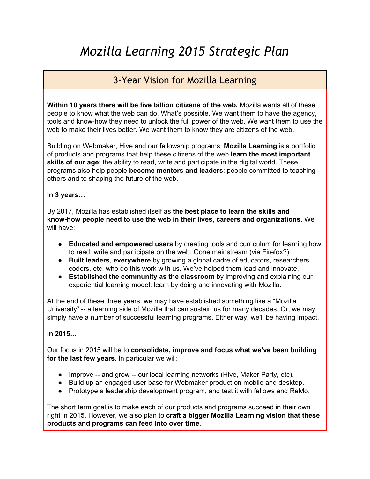## *Mozilla Learning 2015 Strategic Plan*

### 3-Year Vision for Mozilla Learning

**Within 10 years there will be five billion citizens of the web.** Mozilla wants all of these people to know what the web can do. What's possible. We want them to have the agency, tools and know-how they need to unlock the full power of the web. We want them to use the web to make their lives better. We want them to know they are citizens of the web.

Building on Webmaker, Hive and our fellowship programs, **Mozilla Learning** is a portfolio of products and programs that help these citizens of the web **learn the most important skills of our age**: the ability to read, write and participate in the digital world. These programs also help people **become mentors and leaders**: people committed to teaching others and to shaping the future of the web.

### **In 3 years…**

By 2017, Mozilla has established itself as **the best place to learn the skills and knowhow people need to use the web in their lives, careers and organizations**. We will have:

- **Educated and empowered users** by creating tools and curriculum for learning how to read, write and participate on the web. Gone mainstream (via Firefox?).
- **Built leaders, everywhere** by growing a global cadre of educators, researchers, coders, etc. who do this work with us. We've helped them lead and innovate.
- **Established the community as the classroom** by improving and explaining our experiential learning model: learn by doing and innovating with Mozilla.

At the end of these three years, we may have established something like a "Mozilla University" -- a learning side of Mozilla that can sustain us for many decades. Or, we may simply have a number of successful learning programs. Either way, we'll be having impact.

### **In 2015…**

Our focus in 2015 will be to **consolidate, improve and focus what we've been building for the last few years**. In particular we will:

- $\bullet$  Improve -- and grow -- our local learning networks (Hive, Maker Party, etc).
- Build up an engaged user base for Webmaker product on mobile and desktop.
- Prototype a leadership development program, and test it with fellows and ReMo.

The short term goal is to make each of our products and programs succeed in their own right in 2015. However, we also plan to **craft a bigger Mozilla Learning vision that these products and programs can feed into over time**.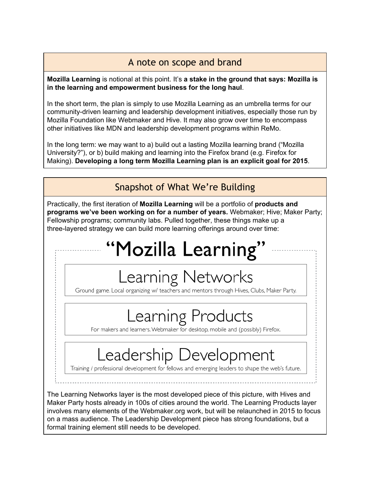### A note on scope and brand

#### **Mozilla Learning** is notional at this point. It's **a stake in the ground that says: Mozilla is in the learning and empowerment business for the long haul**.

In the short term, the plan is simply to use Mozilla Learning as an umbrella terms for our community-driven learning and leadership development initiatives, especially those run by Mozilla Foundation like Webmaker and Hive. It may also grow over time to encompass other initiatives like MDN and leadership development programs within ReMo.

In the long term: we may want to a) build out a lasting Mozilla learning brand ("Mozilla University?"), or b) build making and learning into the Firefox brand (e.g. Firefox for Making). **Developing a long term Mozilla Learning plan is an explicit goal for 2015**.

Snapshot of What We're Building

Practically, the first iteration of **Mozilla Learning** will be a portfolio of **products and programs we've been working on for a number of years.** Webmaker; Hive; Maker Party; Fellowship programs; community labs. Pulled together, these things make up a threelayered strategy we can build more learning offerings around over time:

# "Mozilla Learning"

# Learning Networks

Ground game. Local organizing w/ teachers and mentors through Hives, Clubs, Maker Party.

# Learning Products

For makers and learners. Webmaker for desktop, mobile and (possibly) Firefox.

# Leadership Development

Training / professional development for fellows and emerging leaders to shape the web's future.

The Learning Networks layer is the most developed piece of this picture, with Hives and Maker Party hosts already in 100s of cities around the world. The Learning Products layer involves many elements of the Webmaker.org work, but will be relaunched in 2015 to focus on a mass audience. The Leadership Development piece has strong foundations, but a formal training element still needs to be developed.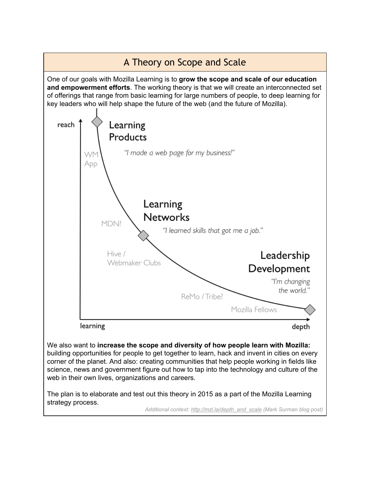

strategy process.

*Additional context: [http://mzl.la/depth\\_and\\_scale](http://www.google.com/url?q=http%3A%2F%2Fmzl.la%2Fdepth_and_scale&sa=D&sntz=1&usg=AFQjCNFWb6zVF038D60OAfBwnEApouzgsA) (Mark Surman blog post)*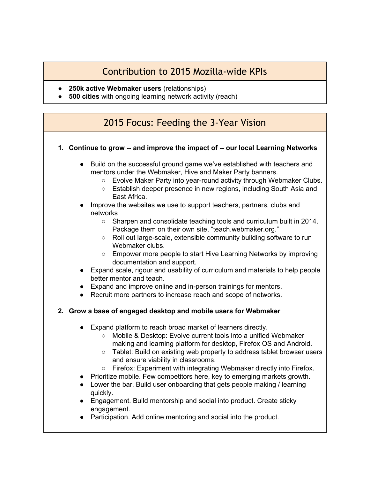### Contribution to 2015 Mozilla-wide KPIs

- **250k active Webmaker users** (relationships)
- **● 500 cities** with ongoing learning network activity (reach)

### 2015 Focus: Feeding the 3-Year Vision

- **1. Continue to grow and improve the impact of our local Learning Networks**
	- Build on the successful ground game we've established with teachers and mentors under the Webmaker, Hive and Maker Party banners.
		- Evolve Maker Party into year-round activity through Webmaker Clubs.
		- Establish deeper presence in new regions, including South Asia and East Africa.
	- Improve the websites we use to support teachers, partners, clubs and networks
		- Sharpen and consolidate teaching tools and curriculum built in 2014. Package them on their own site, "teach.webmaker.org."
		- Roll out large-scale, extensible community building software to run Webmaker clubs.
		- Empower more people to start Hive Learning Networks by improving documentation and support.
	- Expand scale, rigour and usability of curriculum and materials to help people better mentor and teach.
	- Expand and improve online and in-person trainings for mentors.
	- Recruit more partners to increase reach and scope of networks.

### **2. Grow a base of engaged desktop and mobile users for Webmaker**

- Expand platform to reach broad market of learners directly.
	- Mobile & Desktop: Evolve current tools into a unified Webmaker making and learning platform for desktop, Firefox OS and Android.
	- Tablet: Build on existing web property to address tablet browser users and ensure viability in classrooms.
	- Firefox: Experiment with integrating Webmaker directly into Firefox.
- Prioritize mobile. Few competitors here, key to emerging markets growth.
- Lower the bar. Build user onboarding that gets people making / learning quickly.
- Engagement. Build mentorship and social into product. Create sticky engagement.
- Participation. Add online mentoring and social into the product.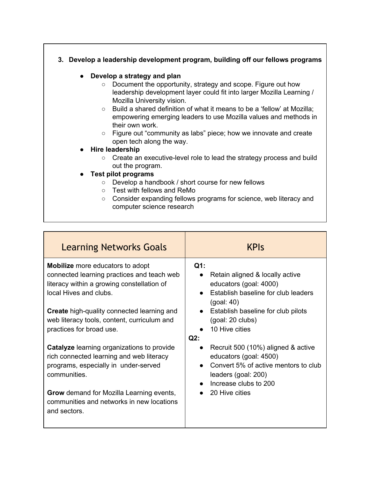### **3. Develop a leadership development program, building off our fellows programs**

### **● Develop a strategy and plan**

- Document the opportunity, strategy and scope. Figure out how leadership development layer could fit into larger Mozilla Learning / Mozilla University vision.
- Build a shared definition of what it means to be a 'fellow' at Mozilla; empowering emerging leaders to use Mozilla values and methods in their own work.
- Figure out "community as labs" piece; how we innovate and create open tech along the way.
- **● Hire leadership**
	- Create an executive-level role to lead the strategy process and build out the program.
- **● Test pilot programs**
	- Develop a handbook / short course for new fellows
	- Test with fellows and ReMo
	- Consider expanding fellows programs for science, web literacy and computer science research

| <b>Learning Networks Goals</b>                                                                                                                                                                                                                        | <b>KPIS</b>                                                                                                                                                            |
|-------------------------------------------------------------------------------------------------------------------------------------------------------------------------------------------------------------------------------------------------------|------------------------------------------------------------------------------------------------------------------------------------------------------------------------|
| <b>Mobilize</b> more educators to adopt<br>connected learning practices and teach web<br>literacy within a growing constellation of<br>local Hives and clubs.                                                                                         | $Q1$ :<br>Retain aligned & locally active<br>educators (goal: 4000)<br>Establish baseline for club leaders<br>(goal: 40)                                               |
| Create high-quality connected learning and<br>web literacy tools, content, curriculum and<br>practices for broad use.                                                                                                                                 | Establish baseline for club pilots<br>(goal: 20 clubs)<br>10 Hive cities<br>$Q2$ :                                                                                     |
| <b>Catalyze</b> learning organizations to provide<br>rich connected learning and web literacy<br>programs, especially in under-served<br>communities.<br><b>Grow</b> demand for Mozilla Learning events,<br>communities and networks in new locations | Recruit 500 (10%) aligned & active<br>educators (goal: 4500)<br>Convert 5% of active mentors to club<br>leaders (goal: 200)<br>Increase clubs to 200<br>20 Hive cities |
| and sectors.                                                                                                                                                                                                                                          |                                                                                                                                                                        |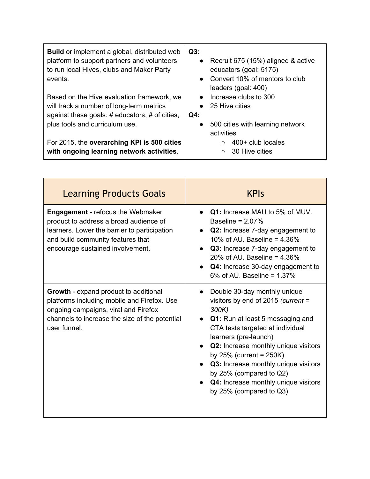| <b>Build</b> or implement a global, distributed web<br>platform to support partners and volunteers<br>to run local Hives, clubs and Maker Party<br>events.<br>Based on the Hive evaluation framework, we<br>will track a number of long-term metrics<br>against these goals: # educators, # of cities, | Q3:<br>• Recruit 675 (15%) aligned & active<br>educators (goal: 5175)<br>Convert 10% of mentors to club<br>$\bullet$<br>leaders (goal: 400)<br>Increase clubs to 300<br>$\bullet$<br>25 Hive cities<br>$\bullet$<br>Q4: |
|--------------------------------------------------------------------------------------------------------------------------------------------------------------------------------------------------------------------------------------------------------------------------------------------------------|-------------------------------------------------------------------------------------------------------------------------------------------------------------------------------------------------------------------------|
| plus tools and curriculum use.                                                                                                                                                                                                                                                                         | 500 cities with learning network<br>$\bullet$<br>activities                                                                                                                                                             |
| For 2015, the overarching KPI is 500 cities<br>with ongoing learning network activities.                                                                                                                                                                                                               | 400+ club locales<br>$\circ$<br>30 Hive cities<br>$\circ$                                                                                                                                                               |

| <b>Learning Products Goals</b>                                                                                                                                                                              | <b>KPIS</b>                                                                                                                                                                                                                                                                                                                                                                                        |
|-------------------------------------------------------------------------------------------------------------------------------------------------------------------------------------------------------------|----------------------------------------------------------------------------------------------------------------------------------------------------------------------------------------------------------------------------------------------------------------------------------------------------------------------------------------------------------------------------------------------------|
| <b>Engagement</b> - refocus the Webmaker<br>product to address a broad audience of<br>learners. Lower the barrier to participation<br>and build community features that<br>encourage sustained involvement. | Q1: Increase MAU to 5% of MUV.<br>Baseline = $2.07\%$<br>Q2: Increase 7-day engagement to<br>10% of AU. Baseline = $4.36%$<br>Q3: Increase 7-day engagement to<br>20% of AU. Baseline = $4.36%$<br>Q4: Increase 30-day engagement to<br>$6\%$ of AU. Baseline = 1.37%                                                                                                                              |
| Growth - expand product to additional<br>platforms including mobile and Firefox. Use<br>ongoing campaigns, viral and Firefox<br>channels to increase the size of the potential<br>user funnel.              | Double 30-day monthly unique<br>visitors by end of 2015 (current =<br>300K)<br>Q1: Run at least 5 messaging and<br>CTA tests targeted at individual<br>learners (pre-launch)<br><b>Q2:</b> Increase monthly unique visitors<br>by $25\%$ (current = $250K$ )<br>Q3: Increase monthly unique visitors<br>by 25% (compared to Q2)<br>Q4: Increase monthly unique visitors<br>by 25% (compared to Q3) |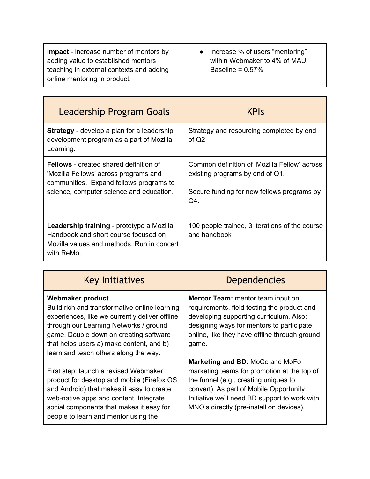| <b>Leadership Program Goals</b>                                                                                                                                               | <b>KPIS</b>                                                                                                                          |
|-------------------------------------------------------------------------------------------------------------------------------------------------------------------------------|--------------------------------------------------------------------------------------------------------------------------------------|
| <b>Strategy</b> - develop a plan for a leadership<br>development program as a part of Mozilla<br>Learning.                                                                    | Strategy and resourcing completed by end<br>of $Q2$                                                                                  |
| <b>Fellows</b> - created shared definition of<br>'Mozilla Fellows' across programs and<br>communities. Expand fellows programs to<br>science, computer science and education. | Common definition of 'Mozilla Fellow' across<br>existing programs by end of Q1.<br>Secure funding for new fellows programs by<br>Q4. |
| Leadership training - prototype a Mozilla<br>Handbook and short course focused on<br>Mozilla values and methods. Run in concert<br>with ReMo.                                 | 100 people trained, 3 iterations of the course<br>and handbook                                                                       |

| <b>Key Initiatives</b>                                                                                                                                                                                                                                                                       | <b>Dependencies</b>                                                                                                                                                                                                                                             |
|----------------------------------------------------------------------------------------------------------------------------------------------------------------------------------------------------------------------------------------------------------------------------------------------|-----------------------------------------------------------------------------------------------------------------------------------------------------------------------------------------------------------------------------------------------------------------|
| Webmaker product<br>Build rich and transformative online learning<br>experiences, like we currently deliver offline<br>through our Learning Networks / ground<br>game. Double down on creating software<br>that helps users a) make content, and b)<br>learn and teach others along the way. | <b>Mentor Team:</b> mentor team input on<br>requirements, field testing the product and<br>developing supporting curriculum. Also:<br>designing ways for mentors to participate<br>online, like they have offline through ground<br>game.                       |
| First step: launch a revised Webmaker<br>product for desktop and mobile (Firefox OS<br>and Android) that makes it easy to create<br>web-native apps and content. Integrate<br>social components that makes it easy for<br>people to learn and mentor using the                               | Marketing and BD: MoCo and MoFo<br>marketing teams for promotion at the top of<br>the funnel (e.g., creating uniques to<br>convert). As part of Mobile Opportunity<br>Initiative we'll need BD support to work with<br>MNO's directly (pre-install on devices). |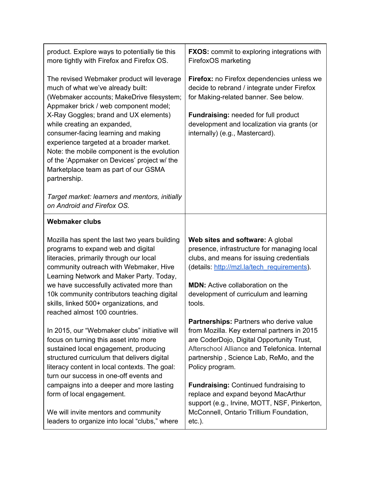| product. Explore ways to potentially tie this<br>more tightly with Firefox and Firefox OS.                                                                                                                                                                                                                                                                                                                                                                                             | <b>FXOS:</b> commit to exploring integrations with<br>FirefoxOS marketing                                                                                                                                                                                                                                                                                                                 |
|----------------------------------------------------------------------------------------------------------------------------------------------------------------------------------------------------------------------------------------------------------------------------------------------------------------------------------------------------------------------------------------------------------------------------------------------------------------------------------------|-------------------------------------------------------------------------------------------------------------------------------------------------------------------------------------------------------------------------------------------------------------------------------------------------------------------------------------------------------------------------------------------|
| The revised Webmaker product will leverage<br>much of what we've already built:<br>(Webmaker accounts; MakeDrive filesystem;<br>Appmaker brick / web component model;<br>X-Ray Goggles; brand and UX elements)<br>while creating an expanded,<br>consumer-facing learning and making<br>experience targeted at a broader market.<br>Note: the mobile component is the evolution<br>of the 'Appmaker on Devices' project w/ the<br>Marketplace team as part of our GSMA<br>partnership. | Firefox: no Firefox dependencies unless we<br>decide to rebrand / integrate under Firefox<br>for Making-related banner. See below.<br>Fundraising: needed for full product<br>development and localization via grants (or<br>internally) (e.g., Mastercard).                                                                                                                              |
| Target market: learners and mentors, initially<br>on Android and Firefox OS.                                                                                                                                                                                                                                                                                                                                                                                                           |                                                                                                                                                                                                                                                                                                                                                                                           |
| <b>Webmaker clubs</b>                                                                                                                                                                                                                                                                                                                                                                                                                                                                  |                                                                                                                                                                                                                                                                                                                                                                                           |
| Mozilla has spent the last two years building<br>programs to expand web and digital<br>literacies, primarily through our local<br>community outreach with Webmaker, Hive<br>Learning Network and Maker Party. Today,<br>we have successfully activated more than<br>10k community contributors teaching digital<br>skills, linked 500+ organizations, and<br>reached almost 100 countries.                                                                                             | Web sites and software: A global<br>presence, infrastructure for managing local<br>clubs, and means for issuing credentials<br>(details: http://mzl.la/tech requirements).<br><b>MDN:</b> Active collaboration on the<br>development of curriculum and learning<br>tools.                                                                                                                 |
| In 2015, our "Webmaker clubs" initiative will<br>focus on turning this asset into more<br>sustained local engagement, producing<br>structured curriculum that delivers digital<br>literacy content in local contexts. The goal:<br>turn our success in one-off events and<br>campaigns into a deeper and more lasting<br>form of local engagement.                                                                                                                                     | Partnerships: Partners who derive value<br>from Mozilla. Key external partners in 2015<br>are CoderDojo, Digital Opportunity Trust,<br>Afterschool Alliance and Telefonica, Internal<br>partnership, Science Lab, ReMo, and the<br>Policy program.<br><b>Fundraising: Continued fundraising to</b><br>replace and expand beyond MacArthur<br>support (e.g., Irvine, MOTT, NSF, Pinkerton, |
| We will invite mentors and community<br>leaders to organize into local "clubs," where                                                                                                                                                                                                                                                                                                                                                                                                  | McConnell, Ontario Trillium Foundation,<br>$etc.$ ).                                                                                                                                                                                                                                                                                                                                      |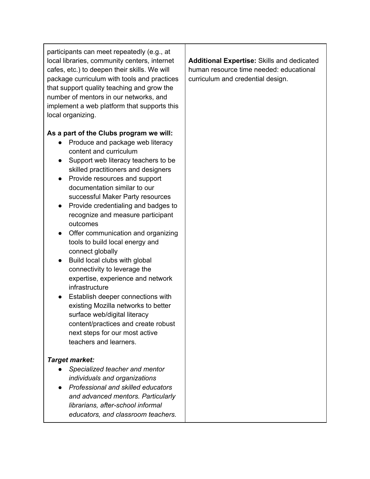participants can meet repeatedly (e.g., at local libraries, community centers, internet cafes, etc.) to deepen their skills. We will package curriculum with tools and practices that support quality teaching and grow the number of mentors in our networks, and implement a web platform that supports this local organizing.

### **As a part of the Clubs program we will:**

- Produce and package web literacy content and curriculum
- Support web literacy teachers to be skilled practitioners and designers
- Provide resources and support documentation similar to our successful Maker Party resources
- Provide credentialing and badges to recognize and measure participant outcomes
- Offer communication and organizing tools to build local energy and connect globally
- Build local clubs with global connectivity to leverage the expertise, experience and network infrastructure
- Establish deeper connections with existing Mozilla networks to better surface web/digital literacy content/practices and create robust next steps for our most active teachers and learners.

### *Target market:*

- *Specialized teacher and mentor individuals and organizations*
- *Professional and skilled educators and advanced mentors. Particularly librarians, afterschool informal educators, and classroom teachers.*

**Additional Expertise:** Skills and dedicated human resource time needed: educational curriculum and credential design.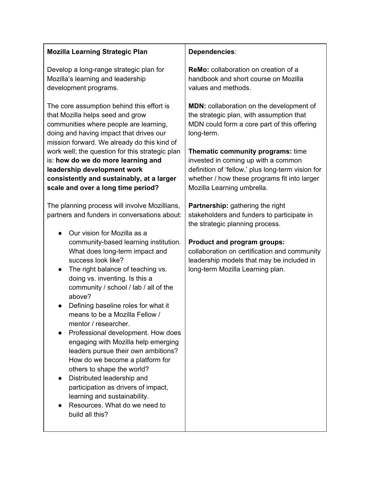| <b>Mozilla Learning Strategic Plan</b>                                                                                                                                                                                                                                                                                                                                                                                                                                                                                                                                                                                                                                                                                                                                                                                                                                                                                                                                                                                                                                                                                                                                                                                                              | Dependencies:                                                                                                                                                                                                                                                                                                                                                                                                                                                                                                                                                                                                                                                              |
|-----------------------------------------------------------------------------------------------------------------------------------------------------------------------------------------------------------------------------------------------------------------------------------------------------------------------------------------------------------------------------------------------------------------------------------------------------------------------------------------------------------------------------------------------------------------------------------------------------------------------------------------------------------------------------------------------------------------------------------------------------------------------------------------------------------------------------------------------------------------------------------------------------------------------------------------------------------------------------------------------------------------------------------------------------------------------------------------------------------------------------------------------------------------------------------------------------------------------------------------------------|----------------------------------------------------------------------------------------------------------------------------------------------------------------------------------------------------------------------------------------------------------------------------------------------------------------------------------------------------------------------------------------------------------------------------------------------------------------------------------------------------------------------------------------------------------------------------------------------------------------------------------------------------------------------------|
| Develop a long-range strategic plan for<br>Mozilla's learning and leadership<br>development programs.                                                                                                                                                                                                                                                                                                                                                                                                                                                                                                                                                                                                                                                                                                                                                                                                                                                                                                                                                                                                                                                                                                                                               | <b>ReMo:</b> collaboration on creation of a<br>handbook and short course on Mozilla<br>values and methods.                                                                                                                                                                                                                                                                                                                                                                                                                                                                                                                                                                 |
| The core assumption behind this effort is<br>that Mozilla helps seed and grow<br>communities where people are learning,<br>doing and having impact that drives our<br>mission forward. We already do this kind of<br>work well; the question for this strategic plan<br>is: how do we do more learning and<br>leadership development work<br>consistently and sustainably, at a larger<br>scale and over a long time period?<br>The planning process will involve Mozillians,<br>partners and funders in conversations about:<br>Our vision for Mozilla as a<br>community-based learning institution.<br>What does long-term impact and<br>success look like?<br>The right balance of teaching vs.<br>$\bullet$<br>doing vs. inventing. Is this a<br>community / school / lab / all of the<br>above?<br>Defining baseline roles for what it<br>means to be a Mozilla Fellow /<br>mentor / researcher.<br>Professional development. How does<br>engaging with Mozilla help emerging<br>leaders pursue their own ambitions?<br>How do we become a platform for<br>others to shape the world?<br>Distributed leadership and<br>participation as drivers of impact,<br>learning and sustainability.<br>Resources. What do we need to<br>build all this? | <b>MDN:</b> collaboration on the development of<br>the strategic plan, with assumption that<br>MDN could form a core part of this offering<br>long-term.<br>Thematic community programs: time<br>invested in coming up with a common<br>definition of 'fellow,' plus long-term vision for<br>whether / how these programs fit into larger<br>Mozilla Learning umbrella.<br><b>Partnership:</b> gathering the right<br>stakeholders and funders to participate in<br>the strategic planning process.<br><b>Product and program groups:</b><br>collaboration on certification and community<br>leadership models that may be included in<br>long-term Mozilla Learning plan. |
|                                                                                                                                                                                                                                                                                                                                                                                                                                                                                                                                                                                                                                                                                                                                                                                                                                                                                                                                                                                                                                                                                                                                                                                                                                                     |                                                                                                                                                                                                                                                                                                                                                                                                                                                                                                                                                                                                                                                                            |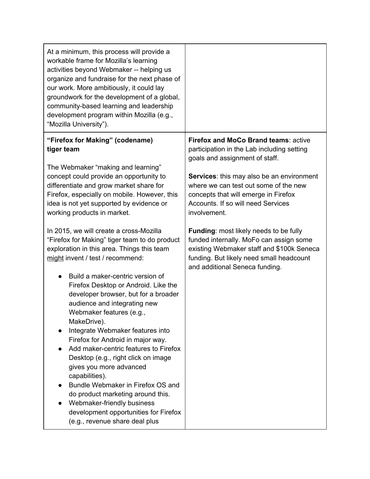| At a minimum, this process will provide a<br>workable frame for Mozilla's learning<br>activities beyond Webmaker -- helping us<br>organize and fundraise for the next phase of<br>our work. More ambitiously, it could lay<br>groundwork for the development of a global,<br>community-based learning and leadership<br>development program within Mozilla (e.g.,<br>"Mozilla University").                                                                                                                                                                                                       |                                                                                                                                                                                                                     |
|---------------------------------------------------------------------------------------------------------------------------------------------------------------------------------------------------------------------------------------------------------------------------------------------------------------------------------------------------------------------------------------------------------------------------------------------------------------------------------------------------------------------------------------------------------------------------------------------------|---------------------------------------------------------------------------------------------------------------------------------------------------------------------------------------------------------------------|
| "Firefox for Making" (codename)<br>tiger team                                                                                                                                                                                                                                                                                                                                                                                                                                                                                                                                                     | <b>Firefox and MoCo Brand teams: active</b><br>participation in the Lab including setting<br>goals and assignment of staff.                                                                                         |
| The Webmaker "making and learning"<br>concept could provide an opportunity to<br>differentiate and grow market share for<br>Firefox, especially on mobile. However, this<br>idea is not yet supported by evidence or<br>working products in market.                                                                                                                                                                                                                                                                                                                                               | Services: this may also be an environment<br>where we can test out some of the new<br>concepts that will emerge in Firefox<br>Accounts. If so will need Services<br>involvement.                                    |
| In 2015, we will create a cross-Mozilla<br>"Firefox for Making" tiger team to do product<br>exploration in this area. Things this team<br>might invent / test / recommend:                                                                                                                                                                                                                                                                                                                                                                                                                        | <b>Funding: most likely needs to be fully</b><br>funded internally. MoFo can assign some<br>existing Webmaker staff and \$100k Seneca<br>funding. But likely need small headcount<br>and additional Seneca funding. |
| Build a maker-centric version of<br>$\bullet$<br>Firefox Desktop or Android. Like the<br>developer browser, but for a broader<br>audience and integrating new<br>Webmaker features (e.g.,<br>MakeDrive).<br>Integrate Webmaker features into<br>Firefox for Android in major way.<br>Add maker-centric features to Firefox<br>Desktop (e.g., right click on image<br>gives you more advanced<br>capabilities).<br>Bundle Webmaker in Firefox OS and<br>do product marketing around this.<br>Webmaker-friendly business<br>development opportunities for Firefox<br>(e.g., revenue share deal plus |                                                                                                                                                                                                                     |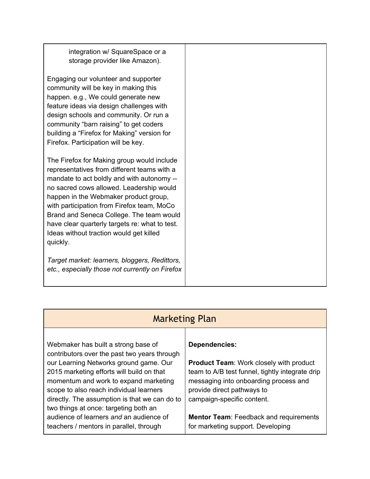| integration w/ SquareSpace or a                                                     |
|-------------------------------------------------------------------------------------|
| storage provider like Amazon).                                                      |
|                                                                                     |
| Engaging our volunteer and supporter                                                |
| community will be key in making this                                                |
| happen. e.g., We could generate new                                                 |
| feature ideas via design challenges with                                            |
| design schools and community. Or run a<br>community "barn raising" to get coders    |
| building a "Firefox for Making" version for                                         |
| Firefox. Participation will be key.                                                 |
|                                                                                     |
| The Firefox for Making group would include                                          |
| representatives from different teams with a                                         |
| mandate to act boldly and with autonomy --                                          |
| no sacred cows allowed. Leadership would                                            |
| happen in the Webmaker product group,<br>with participation from Firefox team, MoCo |
| Brand and Seneca College. The team would                                            |
| have clear quarterly targets re: what to test.                                      |
| Ideas without traction would get killed                                             |
| quickly.                                                                            |
|                                                                                     |
| Target market: learners, bloggers, Redittors,                                       |
| etc., especially those not currently on Firefox                                     |
|                                                                                     |

|                                                                                                                                                                                                                                                                                                                                                                                                                                                | <b>Marketing Plan</b>                                                                                                                                                                                                                                                                                                |  |
|------------------------------------------------------------------------------------------------------------------------------------------------------------------------------------------------------------------------------------------------------------------------------------------------------------------------------------------------------------------------------------------------------------------------------------------------|----------------------------------------------------------------------------------------------------------------------------------------------------------------------------------------------------------------------------------------------------------------------------------------------------------------------|--|
| Webmaker has built a strong base of<br>contributors over the past two years through<br>our Learning Networks ground game. Our<br>2015 marketing efforts will build on that<br>momentum and work to expand marketing<br>scope to also reach individual learners<br>directly. The assumption is that we can do to<br>two things at once: targeting both an<br>audience of learners and an audience of<br>teachers / mentors in parallel, through | <b>Dependencies:</b><br><b>Product Team: Work closely with product</b><br>team to A/B test funnel, tightly integrate drip<br>messaging into onboarding process and<br>provide direct pathways to<br>campaign-specific content.<br><b>Mentor Team: Feedback and requirements</b><br>for marketing support. Developing |  |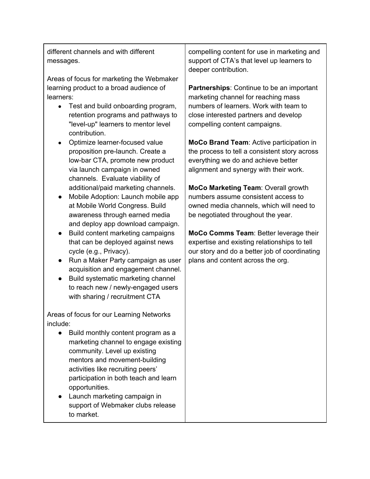different channels and with different messages.

Areas of focus for marketing the Webmaker learning product to a broad audience of learners:

- Test and build onboarding program, retention programs and pathways to "level-up" learners to mentor level contribution.
- Optimize learner-focused value proposition pre-launch. Create a low-bar CTA, promote new product via launch campaign in owned channels. Evaluate viability of additional/paid marketing channels.
- Mobile Adoption: Launch mobile app at Mobile World Congress. Build awareness through earned media and deploy app download campaign.
- Build content marketing campaigns that can be deployed against news cycle (e.g., Privacy).
- Run a Maker Party campaign as user acquisition and engagement channel.
- Build systematic marketing channel to reach new / newly-engaged users with sharing / recruitment CTA

Areas of focus for our Learning Networks include:

- Build monthly content program as a marketing channel to engage existing community. Level up existing mentors and movement-building activities like recruiting peers' participation in both teach and learn opportunities.
- Launch marketing campaign in support of Webmaker clubs release to market.

compelling content for use in marketing and support of CTA's that level up learners to deeper contribution.

**Partnerships**: Continue to be an important marketing channel for reaching mass numbers of learners. Work with team to close interested partners and develop compelling content campaigns.

**MoCo Brand Team**: Active participation in the process to tell a consistent story across everything we do and achieve better alignment and synergy with their work.

**MoCo Marketing Team**: Overall growth numbers assume consistent access to owned media channels, which will need to be negotiated throughout the year.

**MoCo Comms Team**: Better leverage their expertise and existing relationships to tell our story and do a better job of coordinating plans and content across the org.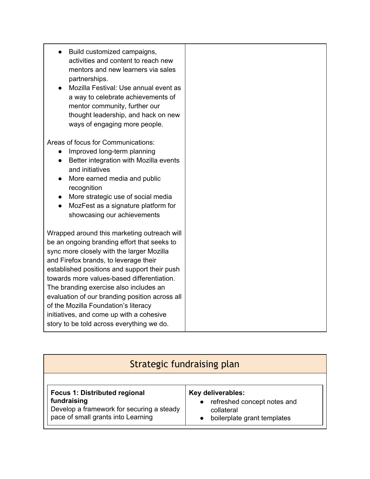| Build customized campaigns,<br>activities and content to reach new<br>mentors and new learners via sales<br>partnerships.<br>Mozilla Festival: Use annual event as<br>$\bullet$<br>a way to celebrate achievements of<br>mentor community, further our<br>thought leadership, and hack on new<br>ways of engaging more people. |
|--------------------------------------------------------------------------------------------------------------------------------------------------------------------------------------------------------------------------------------------------------------------------------------------------------------------------------|
| Areas of focus for Communications:<br>Improved long-term planning<br>$\bullet$                                                                                                                                                                                                                                                 |
| Better integration with Mozilla events<br>$\bullet$<br>and initiatives                                                                                                                                                                                                                                                         |
| More earned media and public<br>$\bullet$<br>recognition                                                                                                                                                                                                                                                                       |
| More strategic use of social media<br>$\bullet$<br>MozFest as a signature platform for                                                                                                                                                                                                                                         |
| showcasing our achievements                                                                                                                                                                                                                                                                                                    |
| Wrapped around this marketing outreach will                                                                                                                                                                                                                                                                                    |
| be an ongoing branding effort that seeks to<br>sync more closely with the larger Mozilla                                                                                                                                                                                                                                       |
| and Firefox brands, to leverage their                                                                                                                                                                                                                                                                                          |
| established positions and support their push<br>towards more values-based differentiation.                                                                                                                                                                                                                                     |
| The branding exercise also includes an                                                                                                                                                                                                                                                                                         |
| evaluation of our branding position across all<br>of the Mozilla Foundation's literacy                                                                                                                                                                                                                                         |
| initiatives, and come up with a cohesive                                                                                                                                                                                                                                                                                       |
| story to be told across everything we do.                                                                                                                                                                                                                                                                                      |

| <b>Strategic fundraising plan</b>         |                             |  |
|-------------------------------------------|-----------------------------|--|
| <b>Focus 1: Distributed regional</b>      | Key deliverables:           |  |
| fundraising                               | refreshed concept notes and |  |
| Develop a framework for securing a steady | collateral                  |  |
| pace of small grants into Learning        | boilerplate grant templates |  |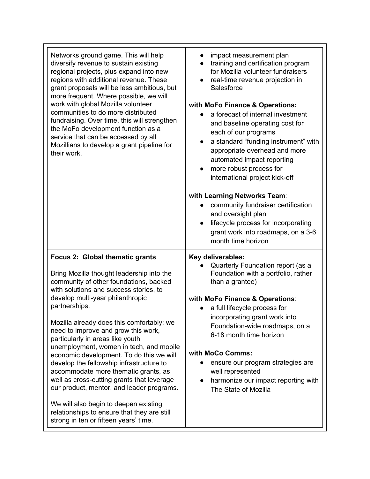| Networks ground game. This will help<br>diversify revenue to sustain existing<br>regional projects, plus expand into new<br>regions with additional revenue. These<br>grant proposals will be less ambitious, but<br>more frequent. Where possible, we will<br>work with global Mozilla volunteer<br>communities to do more distributed<br>fundraising. Over time, this will strengthen<br>the MoFo development function as a<br>service that can be accessed by all<br>Mozillians to develop a grant pipeline for<br>their work.                                                                                                                                                                                                                    | impact measurement plan<br>training and certification program<br>for Mozilla volunteer fundraisers<br>real-time revenue projection in<br>$\bullet$<br>Salesforce<br>with MoFo Finance & Operations:<br>a forecast of internal investment<br>and baseline operating cost for<br>each of our programs<br>a standard "funding instrument" with<br>$\bullet$<br>appropriate overhead and more<br>automated impact reporting<br>more robust process for<br>international project kick-off<br>with Learning Networks Team:<br>community fundraiser certification<br>and oversight plan<br>lifecycle process for incorporating<br>$\bullet$<br>grant work into roadmaps, on a 3-6<br>month time horizon |
|------------------------------------------------------------------------------------------------------------------------------------------------------------------------------------------------------------------------------------------------------------------------------------------------------------------------------------------------------------------------------------------------------------------------------------------------------------------------------------------------------------------------------------------------------------------------------------------------------------------------------------------------------------------------------------------------------------------------------------------------------|--------------------------------------------------------------------------------------------------------------------------------------------------------------------------------------------------------------------------------------------------------------------------------------------------------------------------------------------------------------------------------------------------------------------------------------------------------------------------------------------------------------------------------------------------------------------------------------------------------------------------------------------------------------------------------------------------|
| Focus 2: Global thematic grants<br>Bring Mozilla thought leadership into the<br>community of other foundations, backed<br>with solutions and success stories, to<br>develop multi-year philanthropic<br>partnerships.<br>Mozilla already does this comfortably; we<br>need to improve and grow this work,<br>particularly in areas like youth<br>unemployment, women in tech, and mobile<br>economic development. To do this we will<br>develop the fellowship infrastructure to<br>accommodate more thematic grants, as<br>well as cross-cutting grants that leverage<br>our product, mentor, and leader programs.<br>We will also begin to deepen existing<br>relationships to ensure that they are still<br>strong in ten or fifteen years' time. | Key deliverables:<br>Quarterly Foundation report (as a<br>Foundation with a portfolio, rather<br>than a grantee)<br>with MoFo Finance & Operations:<br>a full lifecycle process for<br>incorporating grant work into<br>Foundation-wide roadmaps, on a<br>6-18 month time horizon<br>with MoCo Comms:<br>ensure our program strategies are<br>well represented<br>harmonize our impact reporting with<br>The State of Mozilla                                                                                                                                                                                                                                                                    |